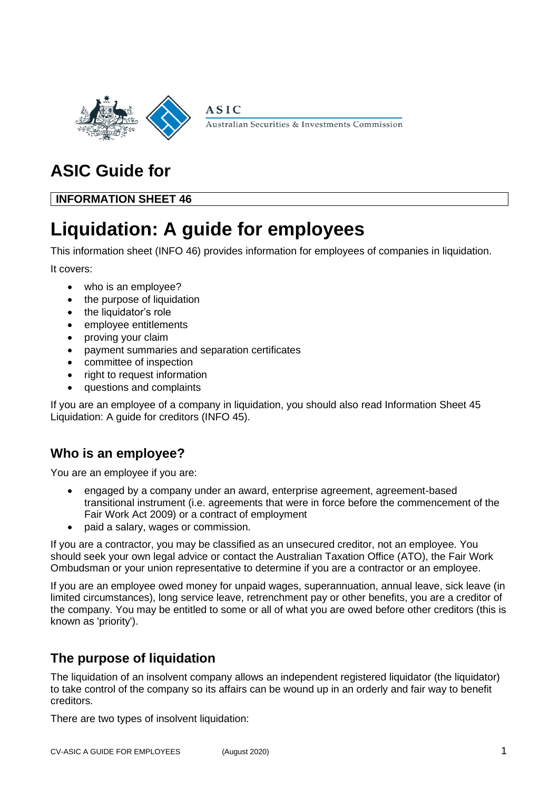

Australian Securities & Investments Commission

# **ASIC Guide for**

**INFORMATION SHEET 46**

# **Liquidation: A guide for employees**

**ASIC** 

This information sheet (INFO 46) provides information for employees of companies in liquidation.

It covers:

- who is an employee?
- the purpose of liquidation
- the liquidator's role
- employee entitlements
- proving your claim
- payment summaries and separation certificates
- committee of inspection
- right to request information
- questions and complaints

If you are an employee of a company in liquidation, you should also read Information Sheet 45 Liquidation: A guide for creditors (INFO 45).

# **Who is an employee?**

You are an employee if you are:

- engaged by a company under an award, enterprise agreement, agreement-based transitional instrument (i.e. agreements that were in force before the commencement of the Fair Work Act 2009) or a contract of employment
- paid a salary, wages or commission.

If you are a contractor, you may be classified as an unsecured creditor, not an employee. You should seek your own legal advice or contact the Australian Taxation Office (ATO), the Fair Work Ombudsman or your union representative to determine if you are a contractor or an employee.

If you are an employee owed money for unpaid wages, superannuation, annual leave, sick leave (in limited circumstances), long service leave, retrenchment pay or other benefits, you are a creditor of the company. You may be entitled to some or all of what you are owed before other creditors (this is known as 'priority').

# **The purpose of liquidation**

The liquidation of an insolvent company allows an independent registered liquidator (the liquidator) to take control of the company so its affairs can be wound up in an orderly and fair way to benefit creditors.

There are two types of insolvent liquidation: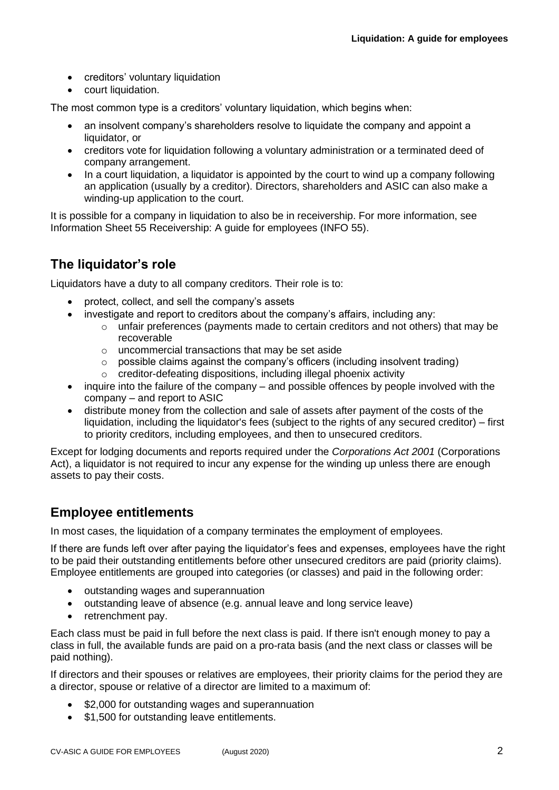- creditors' voluntary liquidation
- court liquidation.

The most common type is a creditors' voluntary liquidation, which begins when:

- an insolvent company's shareholders resolve to liquidate the company and appoint a liquidator, or
- creditors vote for liquidation following a voluntary administration or a terminated deed of company arrangement.
- In a court liquidation, a liquidator is appointed by the court to wind up a company following an application (usually by a creditor). Directors, shareholders and ASIC can also make a winding-up application to the court.

It is possible for a company in liquidation to also be in receivership. For more information, see Information Sheet 55 Receivership: A guide for employees (INFO 55).

## **The liquidator's role**

Liquidators have a duty to all company creditors. Their role is to:

- protect, collect, and sell the company's assets
- investigate and report to creditors about the company's affairs, including any:
	- $\circ$  unfair preferences (payments made to certain creditors and not others) that may be recoverable
	- o uncommercial transactions that may be set aside
	- $\circ$  possible claims against the company's officers (including insolvent trading)
	- o creditor-defeating dispositions, including illegal phoenix activity
- inquire into the failure of the company and possible offences by people involved with the company – and report to ASIC
- distribute money from the collection and sale of assets after payment of the costs of the liquidation, including the liquidator's fees (subject to the rights of any secured creditor) – first to priority creditors, including employees, and then to unsecured creditors.

Except for lodging documents and reports required under the *Corporations Act 2001* (Corporations Act), a liquidator is not required to incur any expense for the winding up unless there are enough assets to pay their costs.

## **Employee entitlements**

In most cases, the liquidation of a company terminates the employment of employees.

If there are funds left over after paying the liquidator's fees and expenses, employees have the right to be paid their outstanding entitlements before other unsecured creditors are paid (priority claims). Employee entitlements are grouped into categories (or classes) and paid in the following order:

- outstanding wages and superannuation
- outstanding leave of absence (e.g. annual leave and long service leave)
- retrenchment pay.

Each class must be paid in full before the next class is paid. If there isn't enough money to pay a class in full, the available funds are paid on a pro-rata basis (and the next class or classes will be paid nothing).

If directors and their spouses or relatives are employees, their priority claims for the period they are a director, spouse or relative of a director are limited to a maximum of:

- \$2,000 for outstanding wages and superannuation
- \$1,500 for outstanding leave entitlements.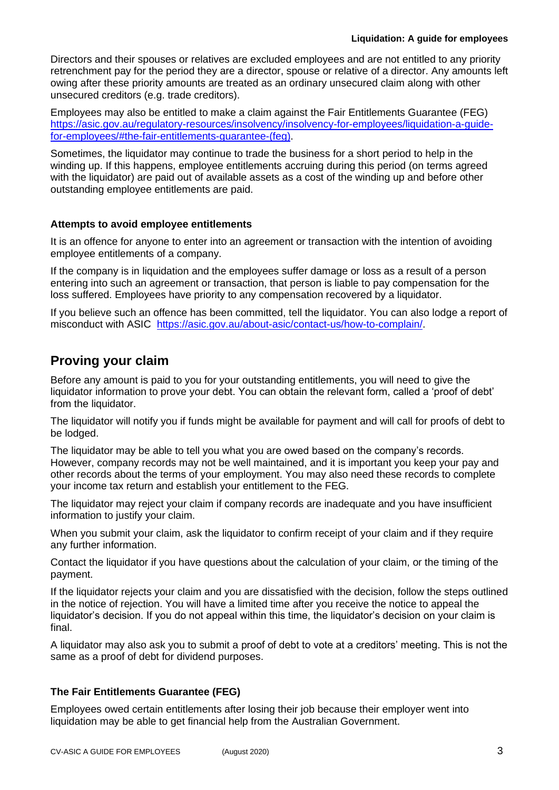Directors and their spouses or relatives are excluded employees and are not entitled to any priority retrenchment pay for the period they are a director, spouse or relative of a director. Any amounts left owing after these priority amounts are treated as an ordinary unsecured claim along with other unsecured creditors (e.g. trade creditors).

Employees may also be entitled to make a claim against the Fair Entitlements Guarantee (FEG) [https://asic.gov.au/regulatory-resources/insolvency/insolvency-for-employees/liquidation-a-guide](https://asic.gov.au/regulatory-resources/insolvency/insolvency-for-employees/liquidation-a-guide-for-employees/#the-fair-entitlements-guarantee-(feg))[for-employees/#the-fair-entitlements-guarantee-\(feg\).](https://asic.gov.au/regulatory-resources/insolvency/insolvency-for-employees/liquidation-a-guide-for-employees/#the-fair-entitlements-guarantee-(feg))

Sometimes, the liquidator may continue to trade the business for a short period to help in the winding up. If this happens, employee entitlements accruing during this period (on terms agreed with the liquidator) are paid out of available assets as a cost of the winding up and before other outstanding employee entitlements are paid.

#### **Attempts to avoid employee entitlements**

It is an offence for anyone to enter into an agreement or transaction with the intention of avoiding employee entitlements of a company.

If the company is in liquidation and the employees suffer damage or loss as a result of a person entering into such an agreement or transaction, that person is liable to pay compensation for the loss suffered. Employees have priority to any compensation recovered by a liquidator.

If you believe such an offence has been committed, tell the liquidator. You can also lodge a report of misconduct with ASIC [https://asic.gov.au/about-asic/contact-us/how-to-complain/.](https://asic.gov.au/about-asic/contact-us/how-to-complain/)

# **Proving your claim**

Before any amount is paid to you for your outstanding entitlements, you will need to give the liquidator information to prove your debt. You can obtain the relevant form, called a 'proof of debt' from the liquidator.

The liquidator will notify you if funds might be available for payment and will call for proofs of debt to be lodged.

The liquidator may be able to tell you what you are owed based on the company's records. However, company records may not be well maintained, and it is important you keep your pay and other records about the terms of your employment. You may also need these records to complete your income tax return and establish your entitlement to the FEG.

The liquidator may reject your claim if company records are inadequate and you have insufficient information to justify your claim.

When you submit your claim, ask the liquidator to confirm receipt of your claim and if they require any further information.

Contact the liquidator if you have questions about the calculation of your claim, or the timing of the payment.

If the liquidator rejects your claim and you are dissatisfied with the decision, follow the steps outlined in the notice of rejection. You will have a limited time after you receive the notice to appeal the liquidator's decision. If you do not appeal within this time, the liquidator's decision on your claim is final.

A liquidator may also ask you to submit a proof of debt to vote at a creditors' meeting. This is not the same as a proof of debt for dividend purposes.

#### **The Fair Entitlements Guarantee (FEG)**

Employees owed certain entitlements after losing their job because their employer went into liquidation may be able to get financial help from the Australian Government.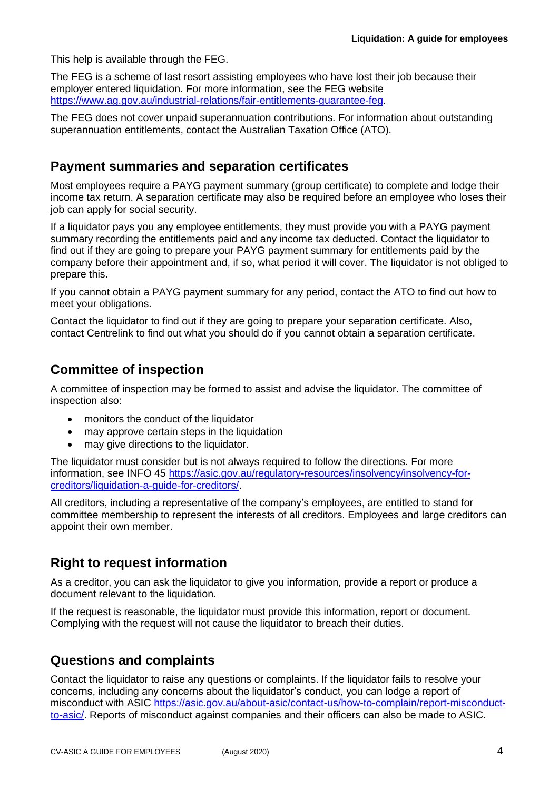This help is available through the FEG.

The FEG is a scheme of last resort assisting employees who have lost their job because their employer entered liquidation. For more information, see the FEG website [https://www.ag.gov.au/industrial-relations/fair-entitlements-guarantee-feg.](https://www.ag.gov.au/industrial-relations/fair-entitlements-guarantee-feg)

The FEG does not cover unpaid superannuation contributions. For information about outstanding superannuation entitlements, contact the Australian Taxation Office (ATO).

## **Payment summaries and separation certificates**

Most employees require a PAYG payment summary (group certificate) to complete and lodge their income tax return. A separation certificate may also be required before an employee who loses their job can apply for social security.

If a liquidator pays you any employee entitlements, they must provide you with a PAYG payment summary recording the entitlements paid and any income tax deducted. Contact the liquidator to find out if they are going to prepare your PAYG payment summary for entitlements paid by the company before their appointment and, if so, what period it will cover. The liquidator is not obliged to prepare this.

If you cannot obtain a PAYG payment summary for any period, contact the ATO to find out how to meet your obligations.

Contact the liquidator to find out if they are going to prepare your separation certificate. Also, contact Centrelink to find out what you should do if you cannot obtain a separation certificate.

# **Committee of inspection**

A committee of inspection may be formed to assist and advise the liquidator. The committee of inspection also:

- monitors the conduct of the liquidator
- may approve certain steps in the liquidation
- may give directions to the liquidator.

The liquidator must consider but is not always required to follow the directions. For more information, see INFO 45 [https://asic.gov.au/regulatory-resources/insolvency/insolvency-for](https://asic.gov.au/regulatory-resources/insolvency/insolvency-for-creditors/liquidation-a-guide-for-creditors/)[creditors/liquidation-a-guide-for-creditors/.](https://asic.gov.au/regulatory-resources/insolvency/insolvency-for-creditors/liquidation-a-guide-for-creditors/)

All creditors, including a representative of the company's employees, are entitled to stand for committee membership to represent the interests of all creditors. Employees and large creditors can appoint their own member.

# **Right to request information**

As a creditor, you can ask the liquidator to give you information, provide a report or produce a document relevant to the liquidation.

If the request is reasonable, the liquidator must provide this information, report or document. Complying with the request will not cause the liquidator to breach their duties.

## **Questions and complaints**

Contact the liquidator to raise any questions or complaints. If the liquidator fails to resolve your concerns, including any concerns about the liquidator's conduct, you can lodge a report of misconduct with ASIC [https://asic.gov.au/about-asic/contact-us/how-to-complain/report-misconduct](https://asic.gov.au/about-asic/contact-us/how-to-complain/report-misconduct-to-asic/)[to-asic/.](https://asic.gov.au/about-asic/contact-us/how-to-complain/report-misconduct-to-asic/) Reports of misconduct against companies and their officers can also be made to ASIC.